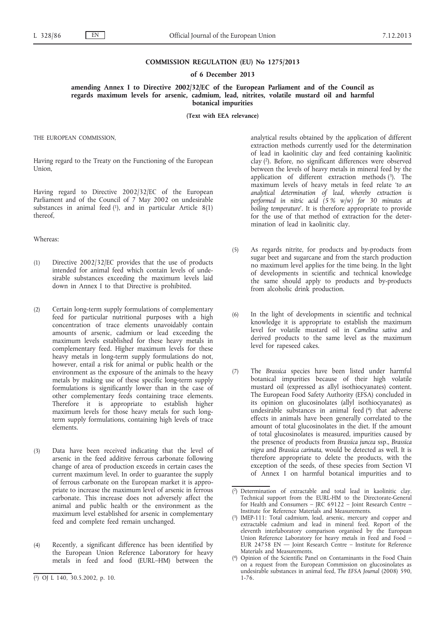#### **COMMISSION REGULATION (EU) No 1275/2013**

#### **of 6 December 2013**

**amending Annex I to Directive 2002/32/EC of the European Parliament and of the Council as regards maximum levels for arsenic, cadmium, lead, nitrites, volatile mustard oil and harmful botanical impurities**

**(Text with EEA relevance)**

THE EUROPEAN COMMISSION,

Having regard to the Treaty on the Functioning of the European Union,

Having regard to Directive 2002/32/EC of the European Parliament and of the Council of 7 May 2002 on undesirable substances in animal feed  $(1)$ , and in particular Article  $8(1)$ thereof,

### Whereas:

- (1) Directive 2002/32/EC provides that the use of products intended for animal feed which contain levels of undesirable substances exceeding the maximum levels laid down in Annex I to that Directive is prohibited.
- (2) Certain long-term supply formulations of complementary feed for particular nutritional purposes with a high concentration of trace elements unavoidably contain amounts of arsenic, cadmium or lead exceeding the maximum levels established for these heavy metals in complementary feed. Higher maximum levels for these heavy metals in long-term supply formulations do not, however, entail a risk for animal or public health or the environment as the exposure of the animals to the heavy metals by making use of these specific long-term supply formulations is significantly lower than in the case of other complementary feeds containing trace elements. Therefore it is appropriate to establish higher maximum levels for those heavy metals for such longterm supply formulations, containing high levels of trace elements.
- (3) Data have been received indicating that the level of arsenic in the feed additive ferrous carbonate following change of area of production exceeds in certain cases the current maximum level. In order to guarantee the supply of ferrous carbonate on the European market it is appropriate to increase the maximum level of arsenic in ferrous carbonate. This increase does not adversely affect the animal and public health or the environment as the maximum level established for arsenic in complementary feed and complete feed remain unchanged.
- (4) Recently, a significant difference has been identified by the European Union Reference Laboratory for heavy metals in feed and food (EURL–HM) between the

analytical results obtained by the application of different extraction methods currently used for the determination of lead in kaolinitic clay and feed containing kaolinitic clay (2). Before, no significant differences were observed between the levels of heavy metals in mineral feed by the application of different extraction methods  $(3)$ . The maximum levels of heavy metals in feed relate '*to an analytical determination of lead, whereby extraction is performed in nitric acid (5 % w/w) for 30 minutes at boiling temperature*'. It is therefore appropriate to provide for the use of that method of extraction for the determination of lead in kaolinitic clay.

- (5) As regards nitrite, for products and by-products from sugar beet and sugarcane and from the starch production no maximum level applies for the time being. In the light of developments in scientific and technical knowledge the same should apply to products and by-products from alcoholic drink production.
- (6) In the light of developments in scientific and technical knowledge it is appropriate to establish the maximum level for volatile mustard oil in *Camelina sativa* and derived products to the same level as the maximum level for rapeseed cakes.
- (7) The *Brassica* species have been listed under harmful botanical impurities because of their high volatile mustard oil (expressed as allyl isothiocyanates) content. The European Food Safety Authority (EFSA) concluded in its opinion on glucosinolates (allyl isothiocyanates) as undesirable substances in animal feed (4) that adverse effects in animals have been generally correlated to the amount of total glucosinolates in the diet. If the amount of total glucosinolates is measured, impurities caused by the presence of products from *Brassica juncea* ssp., *Brassica nigra* and *Brassica carinata*, would be detected as well. It is therefore appropriate to delete the products, with the exception of the seeds, of these species from Section VI of Annex I on harmful botanical impurities and to

<sup>(</sup> 1) OJ L 140, 30.5.2002, p. 10.

<sup>(</sup> 2) Determination of extractable and total lead in kaolinitic clay. Technical support from the EURL-HM to the Directorate-General for Health and Consumers – JRC 69122 – Joint Research Centre – Institute for Reference Materials and Measurements.

<sup>(</sup> 3) IMEP-111: Total cadmium, lead, arsenic, mercury and copper and extractable cadmium and lead in mineral feed. Report of the eleventh interlaboratory comparison organised by the European Union Reference Laboratory for heavy metals in Feed and Food – EUR 24758 EN — Joint Research Centre – Institute for Reference Materials and Measurements.

<sup>(</sup> 4) Opinion of the Scientific Panel on Contaminants in the Food Chain on a request from the European Commission on glucosinolates as undesirable substances in animal feed, *The EFSA Journal* (2008) 590, 1-76.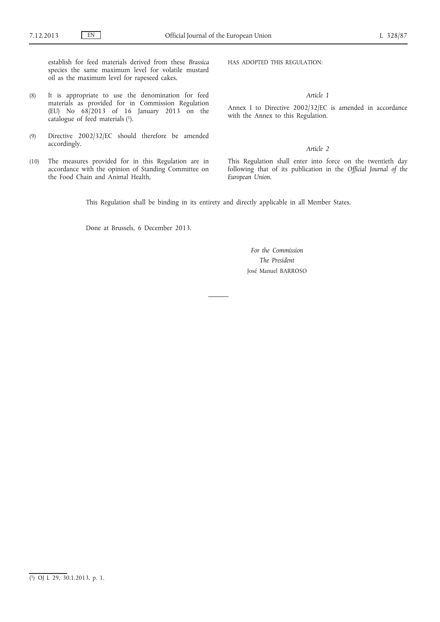establish for feed materials derived from these *Brassica* species the same maximum level for volatile mustard oil as the maximum level for rapeseed cakes.

- (8) It is appropriate to use the denomination for feed materials as provided for in Commission Regulation (EU) No 68/2013 of 16 January 2013 on the catalogue of feed materials (1).
- (9) Directive 2002/32/EC should therefore be amended accordingly.
- (10) The measures provided for in this Regulation are in accordance with the opinion of Standing Committee on the Food Chain and Animal Health,

HAS ADOPTED THIS REGULATION:

*Article 1*

Annex I to Directive 2002/32/EC is amended in accordance with the Annex to this Regulation.

#### *Article 2*

This Regulation shall enter into force on the twentieth day following that of its publication in the *Official Journal of the European Union*.

This Regulation shall be binding in its entirety and directly applicable in all Member States.

Done at Brussels, 6 December 2013.

*For the Commission The President* José Manuel BARROSO

<sup>(</sup> 1) OJ L 29, 30.1.2013, p. 1.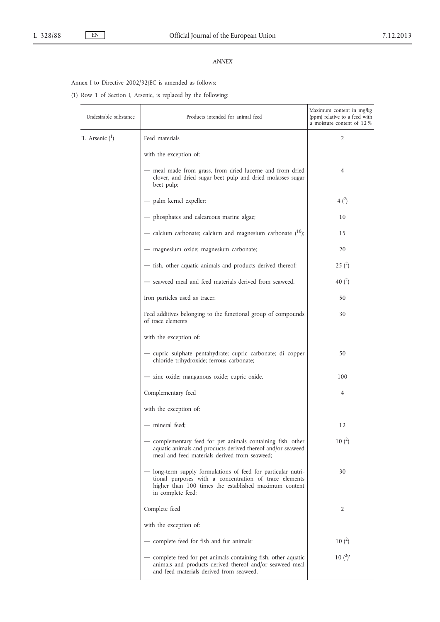## *ANNEX*

# Annex I to Directive 2002/32/EC is amended as follows:

(1) Row 1 of Section I, Arsenic, is replaced by the following:

| Undesirable substance | Products intended for animal feed                                                                                                                                                                   | Maximum content in mg/kg<br>(ppm) relative to a feed with<br>a moisture content of 12 % |
|-----------------------|-----------------------------------------------------------------------------------------------------------------------------------------------------------------------------------------------------|-----------------------------------------------------------------------------------------|
| '1. Arsenic $(1)$     | Feed materials                                                                                                                                                                                      | 2                                                                                       |
|                       | with the exception of:                                                                                                                                                                              |                                                                                         |
|                       | - meal made from grass, from dried lucerne and from dried<br>clover, and dried sugar beet pulp and dried molasses sugar<br>beet pulp;                                                               | 4                                                                                       |
|                       | - palm kernel expeller;                                                                                                                                                                             | $4^{2}$                                                                                 |
|                       | - phosphates and calcareous marine algae;                                                                                                                                                           | 10                                                                                      |
|                       | — calcium carbonate; calcium and magnesium carbonate $(10)$ ;                                                                                                                                       | 15                                                                                      |
|                       | - magnesium oxide; magnesium carbonate;                                                                                                                                                             | 20                                                                                      |
|                       | - fish, other aquatic animals and products derived thereof;                                                                                                                                         | 25(2)                                                                                   |
|                       | - seaweed meal and feed materials derived from seaweed.                                                                                                                                             | 40 $(^{2})$                                                                             |
|                       | Iron particles used as tracer.                                                                                                                                                                      | 50                                                                                      |
|                       | Feed additives belonging to the functional group of compounds<br>of trace elements                                                                                                                  | 30                                                                                      |
|                       | with the exception of:                                                                                                                                                                              |                                                                                         |
|                       | — cupric sulphate pentahydrate; cupric carbonate; di copper<br>chloride trihydroxide; ferrous carbonate;                                                                                            | 50                                                                                      |
|                       | - zinc oxide; manganous oxide; cupric oxide.                                                                                                                                                        | 100                                                                                     |
|                       | Complementary feed                                                                                                                                                                                  | 4                                                                                       |
|                       | with the exception of:                                                                                                                                                                              |                                                                                         |
|                       | — mineral feed;                                                                                                                                                                                     | 12                                                                                      |
|                       | - complementary feed for pet animals containing fish, other<br>aquatic animals and products derived thereof and/or seaweed<br>meal and feed materials derived from seaweed:                         | 10 <sup>2</sup>                                                                         |
|                       | long-term supply formulations of feed for particular nutri-<br>tional purposes with a concentration of trace elements<br>higher than 100 times the established maximum content<br>in complete feed; | 30                                                                                      |
|                       | Complete feed                                                                                                                                                                                       | 2                                                                                       |
|                       | with the exception of:                                                                                                                                                                              |                                                                                         |
|                       | - complete feed for fish and fur animals;                                                                                                                                                           | 10 <sup>2</sup>                                                                         |
|                       | — complete feed for pet animals containing fish, other aquatic<br>animals and products derived thereof and/or seaweed meal<br>and feed materials derived from seaweed.                              | 10 $(^{2})'$                                                                            |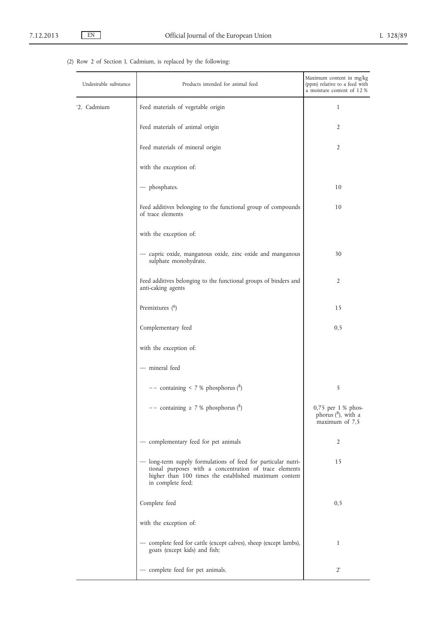# (2) Row 2 of Section I, Cadmium, is replaced by the following:

| Undesirable substance<br>Products intended for animal feed |                                                                                                                                                                                                       | Maximum content in mg/kg<br>(ppm) relative to a feed with<br>a moisture content of 12 % |  |
|------------------------------------------------------------|-------------------------------------------------------------------------------------------------------------------------------------------------------------------------------------------------------|-----------------------------------------------------------------------------------------|--|
| '2. Cadmium                                                | Feed materials of vegetable origin                                                                                                                                                                    | 1                                                                                       |  |
|                                                            | Feed materials of animal origin                                                                                                                                                                       | 2                                                                                       |  |
|                                                            | Feed materials of mineral origin                                                                                                                                                                      | 2                                                                                       |  |
|                                                            | with the exception of:                                                                                                                                                                                |                                                                                         |  |
|                                                            | - phosphates.                                                                                                                                                                                         | 10                                                                                      |  |
|                                                            | Feed additives belonging to the functional group of compounds<br>of trace elements                                                                                                                    | 10                                                                                      |  |
|                                                            | with the exception of:                                                                                                                                                                                |                                                                                         |  |
|                                                            | - cupric oxide, manganous oxide, zinc oxide and manganous<br>sulphate monohydrate.                                                                                                                    | 30                                                                                      |  |
|                                                            | Feed additives belonging to the functional groups of binders and<br>anti-caking agents                                                                                                                | 2                                                                                       |  |
|                                                            | Premixtures $(6)$                                                                                                                                                                                     | 15                                                                                      |  |
|                                                            | Complementary feed                                                                                                                                                                                    | 0, 5                                                                                    |  |
|                                                            | with the exception of:                                                                                                                                                                                |                                                                                         |  |
|                                                            | - mineral feed                                                                                                                                                                                        |                                                                                         |  |
|                                                            | $--$ containing < 7 % phosphorus ( $^{8}$ )                                                                                                                                                           | 5                                                                                       |  |
|                                                            | $--$ containing $\geq 7$ % phosphorus ( <sup>8</sup> )                                                                                                                                                | 0,75 per 1 % phos-<br>phorus $(^8)$ , with a<br>maximum of 7,5                          |  |
|                                                            | - complementary feed for pet animals                                                                                                                                                                  | 2                                                                                       |  |
|                                                            | - long-term supply formulations of feed for particular nutri-<br>tional purposes with a concentration of trace elements<br>higher than 100 times the established maximum content<br>in complete feed; | 15                                                                                      |  |
|                                                            | Complete feed                                                                                                                                                                                         | 0, 5                                                                                    |  |
|                                                            | with the exception of:                                                                                                                                                                                |                                                                                         |  |
|                                                            | - complete feed for cattle (except calves), sheep (except lambs),<br>goats (except kids) and fish;                                                                                                    | 1                                                                                       |  |
|                                                            | - complete feed for pet animals.                                                                                                                                                                      | $2^{\prime}$                                                                            |  |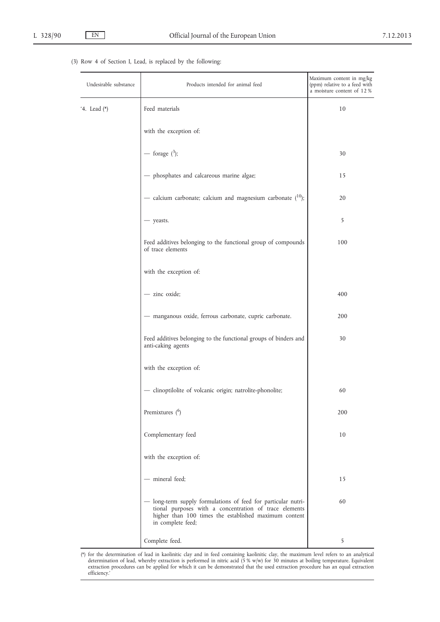## (3) Row 4 of Section I, Lead, is replaced by the following:

| Undesirable substance | Products intended for animal feed                                                                                                                                                                     | Maximum content in mg/kg<br>(ppm) relative to a feed with<br>a moisture content of 12 % |  |
|-----------------------|-------------------------------------------------------------------------------------------------------------------------------------------------------------------------------------------------------|-----------------------------------------------------------------------------------------|--|
| '4. Lead (*)          | Feed materials                                                                                                                                                                                        | 10                                                                                      |  |
|                       | with the exception of:                                                                                                                                                                                |                                                                                         |  |
|                       | — forage $(^3)$ ;                                                                                                                                                                                     | 30                                                                                      |  |
|                       | - phosphates and calcareous marine algae;                                                                                                                                                             | 15                                                                                      |  |
|                       | — calcium carbonate; calcium and magnesium carbonate $(10)$ ;                                                                                                                                         | 20                                                                                      |  |
|                       | - yeasts.                                                                                                                                                                                             | 5                                                                                       |  |
|                       | Feed additives belonging to the functional group of compounds<br>of trace elements                                                                                                                    | 100                                                                                     |  |
|                       | with the exception of:                                                                                                                                                                                |                                                                                         |  |
|                       | - zinc oxide;                                                                                                                                                                                         | 400                                                                                     |  |
|                       | - manganous oxide, ferrous carbonate, cupric carbonate.                                                                                                                                               | 200                                                                                     |  |
|                       | Feed additives belonging to the functional groups of binders and<br>anti-caking agents                                                                                                                | 30                                                                                      |  |
|                       | with the exception of:                                                                                                                                                                                |                                                                                         |  |
|                       | - clinoptilolite of volcanic origin; natrolite-phonolite;                                                                                                                                             | 60                                                                                      |  |
|                       | Premixtures $(6)$                                                                                                                                                                                     | 200                                                                                     |  |
|                       | Complementary feed                                                                                                                                                                                    | 10                                                                                      |  |
|                       | with the exception of:                                                                                                                                                                                |                                                                                         |  |
|                       | - mineral feed;                                                                                                                                                                                       | 15                                                                                      |  |
|                       | - long-term supply formulations of feed for particular nutri-<br>tional purposes with a concentration of trace elements<br>higher than 100 times the established maximum content<br>in complete feed; | 60                                                                                      |  |
|                       | Complete feed.                                                                                                                                                                                        | 5                                                                                       |  |

(\*) for the determination of lead in kaolinitic clay and in feed containing kaolinitic clay, the maximum level refers to an analytical determination of lead, whereby extraction is performed in nitric acid (5 % w/w) for 30 minutes at boiling temperature. Equivalent extraction procedures can be applied for which it can be demonstrated that the used extraction procedure has an equal extraction efficiency.'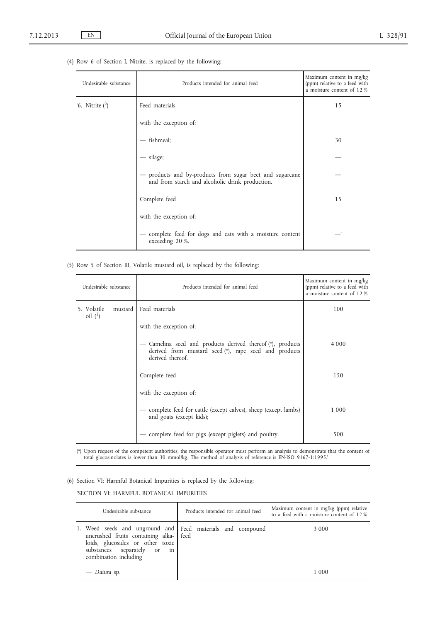| Undesirable substance | Products intended for animal feed                                                                         | Maximum content in mg/kg<br>(ppm) relative to a feed with<br>a moisture content of 12 % |
|-----------------------|-----------------------------------------------------------------------------------------------------------|-----------------------------------------------------------------------------------------|
| '6. Nitrite $(5)$     | Feed materials                                                                                            | 15                                                                                      |
|                       | with the exception of:                                                                                    |                                                                                         |
|                       | fishmeal;                                                                                                 | 30                                                                                      |
|                       | - silage;                                                                                                 |                                                                                         |
|                       | products and by-products from sugar beet and sugarcane<br>and from starch and alcoholic drink production. |                                                                                         |
|                       | Complete feed                                                                                             | 15                                                                                      |
|                       | with the exception of:                                                                                    |                                                                                         |
|                       | complete feed for dogs and cats with a moisture content<br>exceeding 20 %.                                |                                                                                         |

### (4) Row 6 of Section I, Nitrite, is replaced by the following:

(5) Row 5 of Section III, Volatile mustard oil, is replaced by the following:

| Undesirable substance                   | Products intended for animal feed                                                                                                     | Maximum content in mg/kg<br>(ppm) relative to a feed with<br>a moisture content of 12 % |  |
|-----------------------------------------|---------------------------------------------------------------------------------------------------------------------------------------|-----------------------------------------------------------------------------------------|--|
| '5. Volatile<br>mustard 1<br>oil $(^1)$ | Feed materials                                                                                                                        | 100                                                                                     |  |
|                                         | with the exception of:                                                                                                                |                                                                                         |  |
|                                         | Camelina seed and products derived thereof (*), products<br>derived from mustard seed (*), rape seed and products<br>derived thereof. | 4 0 0 0                                                                                 |  |
|                                         | Complete feed                                                                                                                         | 150                                                                                     |  |
|                                         | with the exception of:                                                                                                                |                                                                                         |  |
|                                         | - complete feed for cattle (except calves), sheep (except lambs)<br>and goats (except kids);                                          | 1 000                                                                                   |  |
|                                         | complete feed for pigs (except piglets) and poultry.                                                                                  | 500                                                                                     |  |

(\*) Upon request of the competent authorities, the responsible operator must perform an analysis to demonstrate that the content of total glucosinolates is lower than 30 mmol/kg. The method of analysis of reference is EN-ISO 9167-1:1995.'

(6) Section VI: Harmful Botanical Impurities is replaced by the following:

'SECTION VI: HARMFUL BOTANICAL IMPURITIES

| Undesirable substance                                                                                                                                                                                 | Products intended for animal feed | Maximum content in mg/kg (ppm) relative<br>to a feed with a moisture content of 12 % |
|-------------------------------------------------------------------------------------------------------------------------------------------------------------------------------------------------------|-----------------------------------|--------------------------------------------------------------------------------------|
| 1. Weed seeds and unground and Feed materials and compound<br>uncrushed fruits containing alka-   feed<br>loids, glucosides or other toxic<br>substances separately or<br>in<br>combination including |                                   | 3 0 0 0                                                                              |
| — Datura sp.                                                                                                                                                                                          |                                   | 1 000                                                                                |